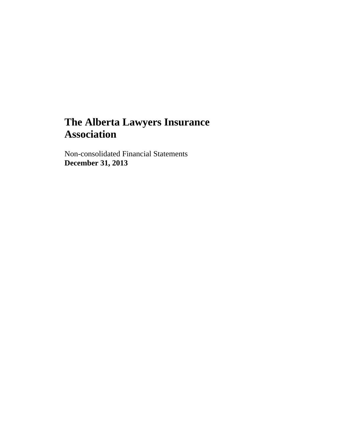Non-consolidated Financial Statements **December 31, 2013**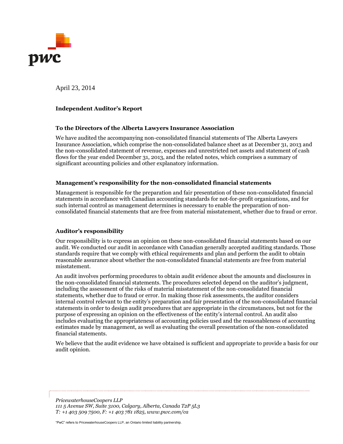

April 23, 2014

#### **Independent Auditor's Report**

#### **To the Directors of the Alberta Lawyers Insurance Association**

We have audited the accompanying non-consolidated financial statements of The Alberta Lawyers Insurance Association, which comprise the non-consolidated balance sheet as at December 31, 2013 and the non-consolidated statement of revenue, expenses and unrestricted net assets and statement of cash flows for the year ended December 31, 2013, and the related notes, which comprises a summary of significant accounting policies and other explanatory information.

#### **Management's responsibility for the non-consolidated financial statements**

Management is responsible for the preparation and fair presentation of these non-consolidated financial statements in accordance with Canadian accounting standards for not-for-profit organizations, and for such internal control as management determines is necessary to enable the preparation of nonconsolidated financial statements that are free from material misstatement, whether due to fraud or error.

#### **Auditor's responsibility**

Our responsibility is to express an opinion on these non-consolidated financial statements based on our audit. We conducted our audit in accordance with Canadian generally accepted auditing standards. Those standards require that we comply with ethical requirements and plan and perform the audit to obtain reasonable assurance about whether the non-consolidated financial statements are free from material misstatement.

An audit involves performing procedures to obtain audit evidence about the amounts and disclosures in the non-consolidated financial statements. The procedures selected depend on the auditor's judgment, including the assessment of the risks of material misstatement of the non-consolidated financial statements, whether due to fraud or error. In making those risk assessments, the auditor considers internal control relevant to the entity's preparation and fair presentation of the non-consolidated financial statements in order to design audit procedures that are appropriate in the circumstances, but not for the purpose of expressing an opinion on the effectiveness of the entity's internal control. An audit also includes evaluating the appropriateness of accounting policies used and the reasonableness of accounting estimates made by management, as well as evaluating the overall presentation of the non-consolidated financial statements.

We believe that the audit evidence we have obtained is sufficient and appropriate to provide a basis for our audit opinion.

*PricewaterhouseCoopers LLP 111 5 Avenue SW, Suite 3100, Calgary, Alberta, Canada T2P 5L3 T: +1 403 509 7500, F: +1 403 781 1825, www.pwc.com/ca*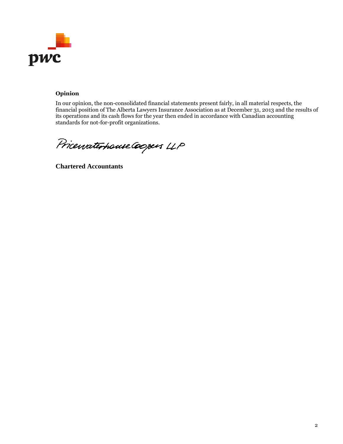

# **Opinion**

In our opinion, the non-consolidated financial statements present fairly, in all material respects, the financial position of The Alberta Lawyers Insurance Association as at December 31, 2013 and the results of its operations and its cash flows for the year then ended in accordance with Canadian accounting standards for not-for-profit organizations.

Pricewaterhouse Coopers LLP

**Chartered Accountants**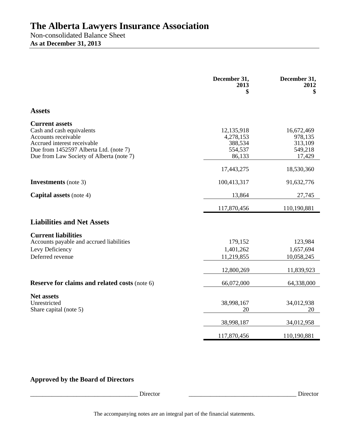Non-consolidated Balance Sheet **As at December 31, 2013** 

|                                                                                                                                                                                                | December 31,<br>2013<br>\$                              | December 31,<br>2012<br>\$                            |
|------------------------------------------------------------------------------------------------------------------------------------------------------------------------------------------------|---------------------------------------------------------|-------------------------------------------------------|
| <b>Assets</b>                                                                                                                                                                                  |                                                         |                                                       |
| <b>Current assets</b><br>Cash and cash equivalents<br>Accounts receivable<br>Accrued interest receivable<br>Due from 1452597 Alberta Ltd. (note 7)<br>Due from Law Society of Alberta (note 7) | 12,135,918<br>4,278,153<br>388,534<br>554,537<br>86,133 | 16,672,469<br>978,135<br>313,109<br>549,218<br>17,429 |
|                                                                                                                                                                                                | 17,443,275                                              | 18,530,360                                            |
| <b>Investments</b> (note 3)                                                                                                                                                                    | 100,413,317                                             | 91,632,776                                            |
| <b>Capital assets</b> (note 4)                                                                                                                                                                 | 13,864                                                  | 27,745                                                |
|                                                                                                                                                                                                | 117,870,456                                             | 110,190,881                                           |
| <b>Liabilities and Net Assets</b>                                                                                                                                                              |                                                         |                                                       |
| <b>Current liabilities</b><br>Accounts payable and accrued liabilities<br>Levy Deficiency<br>Deferred revenue                                                                                  | 179,152<br>1,401,262<br>11,219,855                      | 123,984<br>1,657,694<br>10,058,245                    |
|                                                                                                                                                                                                | 12,800,269                                              | 11,839,923                                            |
| Reserve for claims and related costs (note 6)                                                                                                                                                  | 66,072,000                                              | 64,338,000                                            |
| <b>Net assets</b><br>Unrestricted<br>Share capital (note 5)                                                                                                                                    | 38,998,167<br>20                                        | 34,012,938<br>20                                      |
|                                                                                                                                                                                                | 38,998,187                                              | 34,012,958                                            |
|                                                                                                                                                                                                | 117,870,456                                             | 110,190,881                                           |

# **Approved by the Board of Directors**

\_\_\_\_\_\_\_\_\_\_\_\_\_\_\_\_\_\_\_\_\_\_\_\_\_\_\_\_\_\_\_\_\_\_\_ Director \_\_\_\_\_\_\_\_\_\_\_\_\_\_\_\_\_\_\_\_\_\_\_\_\_\_\_\_\_\_\_\_\_\_\_ Director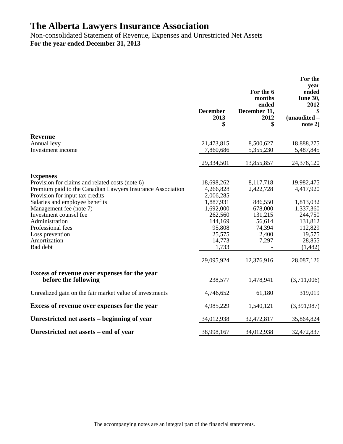Non-consolidated Statement of Revenue, Expenses and Unrestricted Net Assets **For the year ended December 31, 2013** 

|                                                                                                                                                                                                                                                            |                                                                           |                                                            | For the<br>year                                              |
|------------------------------------------------------------------------------------------------------------------------------------------------------------------------------------------------------------------------------------------------------------|---------------------------------------------------------------------------|------------------------------------------------------------|--------------------------------------------------------------|
|                                                                                                                                                                                                                                                            | <b>December</b><br>2013<br>\$                                             | For the 6<br>months<br>ended<br>December 31,<br>2012<br>\$ | ended<br>June 30,<br>2012<br>\$<br>(unaudited -<br>note 2)   |
| <b>Revenue</b>                                                                                                                                                                                                                                             |                                                                           |                                                            |                                                              |
| Annual levy<br>Investment income                                                                                                                                                                                                                           | 21,473,815<br>7,860,686                                                   | 8,500,627<br>5,355,230                                     | 18,888,275<br>5,487,845                                      |
|                                                                                                                                                                                                                                                            | 29,334,501                                                                | 13,855,857                                                 | 24,376,120                                                   |
| <b>Expenses</b><br>Provision for claims and related costs (note 6)<br>Premium paid to the Canadian Lawyers Insurance Association<br>Provision for input tax credits<br>Salaries and employee benefits<br>Management fee (note 7)<br>Investment counsel fee | 18,698,262<br>4,266,828<br>2,006,285<br>1,887,931<br>1,692,000<br>262,560 | 8,117,718<br>2,422,728<br>886,550<br>678,000<br>131,215    | 19,982,475<br>4,417,920<br>1,813,032<br>1,337,360<br>244,750 |
| Administration<br>Professional fees<br>Loss prevention<br>Amortization<br>Bad debt                                                                                                                                                                         | 144,169<br>95,808<br>25,575<br>14,773<br>1,733                            | 56,614<br>74,394<br>2,400<br>7,297                         | 131,812<br>112,829<br>19,575<br>28,855<br>(1,482)            |
|                                                                                                                                                                                                                                                            | 29,095,924                                                                | 12,376,916                                                 | 28,087,126                                                   |
| Excess of revenue over expenses for the year<br>before the following                                                                                                                                                                                       | 238,577                                                                   | 1,478,941                                                  | (3,711,006)                                                  |
| Unrealized gain on the fair market value of investments                                                                                                                                                                                                    | 4,746,652                                                                 | 61,180                                                     | 319,019                                                      |
| Excess of revenue over expenses for the year                                                                                                                                                                                                               | 4,985,229                                                                 | 1,540,121                                                  | (3,391,987)                                                  |
| Unrestricted net assets – beginning of year                                                                                                                                                                                                                | 34,012,938                                                                | 32,472,817                                                 | 35,864,824                                                   |
| Unrestricted net assets – end of year                                                                                                                                                                                                                      | 38,998,167                                                                | 34,012,938                                                 | 32,472,837                                                   |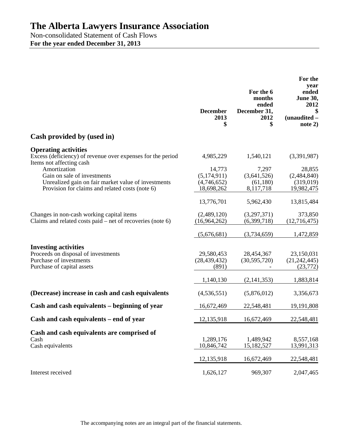Non-consolidated Statement of Cash Flows **For the year ended December 31, 2013** 

| Cash provided by (used in)                                                                                                  | <b>December</b><br>2013<br>\$         | For the 6<br>months<br>ended<br>December 31,<br>2012<br>\$ | For the<br>year<br>ended<br>June 30,<br>2012<br>\$<br>(unaudited -<br>note 2) |
|-----------------------------------------------------------------------------------------------------------------------------|---------------------------------------|------------------------------------------------------------|-------------------------------------------------------------------------------|
|                                                                                                                             |                                       |                                                            |                                                                               |
| <b>Operating activities</b><br>Excess (deficiency) of revenue over expenses for the period<br>Items not affecting cash      | 4,985,229                             | 1,540,121                                                  | (3,391,987)                                                                   |
| Amortization<br>Gain on sale of investments<br>Unrealized gain on fair market value of investments                          | 14,773<br>(5,174,911)<br>(4,746,652)  | 7,297<br>(3,641,526)<br>(61,180)                           | 28,855<br>(2,484,840)<br>(319,019)                                            |
| Provision for claims and related costs (note 6)                                                                             | 18,698,262                            | 8,117,718                                                  | 19,982,475                                                                    |
|                                                                                                                             | 13,776,701                            | 5,962,430                                                  | 13,815,484                                                                    |
| Changes in non-cash working capital items<br>Claims and related costs paid – net of recoveries (note $6$ )                  | (2,489,120)<br>(16,964,262)           | (3,297,371)<br>(6,399,718)                                 | 373,850<br>(12,716,475)                                                       |
|                                                                                                                             | (5,676,681)                           | (3,734,659)                                                | 1,472,859                                                                     |
| <b>Investing activities</b><br>Proceeds on disposal of investments<br>Purchase of investments<br>Purchase of capital assets | 29,580,453<br>(28, 439, 432)<br>(891) | 28,454,367<br>(30, 595, 720)                               | 23,150,031<br>(21, 242, 445)<br>(23, 772)                                     |
|                                                                                                                             | 1,140,130                             | (2,141,353)                                                | 1,883,814                                                                     |
| (Decrease) increase in cash and cash equivalents                                                                            | (4, 536, 551)                         | (5,876,012)                                                | 3,356,673                                                                     |
| Cash and cash equivalents – beginning of year                                                                               | 16,672,469                            | 22,548,481                                                 | 19,191,808                                                                    |
| Cash and cash equivalents – end of year                                                                                     | 12,135,918                            | 16,672,469                                                 | 22,548,481                                                                    |
| Cash and cash equivalents are comprised of<br>Cash<br>Cash equivalents                                                      | 1,289,176<br>10,846,742               | 1,489,942<br>15,182,527                                    | 8,557,168<br>13,991,313                                                       |
|                                                                                                                             | 12,135,918                            | 16,672,469                                                 | 22,548,481                                                                    |
| Interest received                                                                                                           | 1,626,127                             | 969,307                                                    | 2,047,465                                                                     |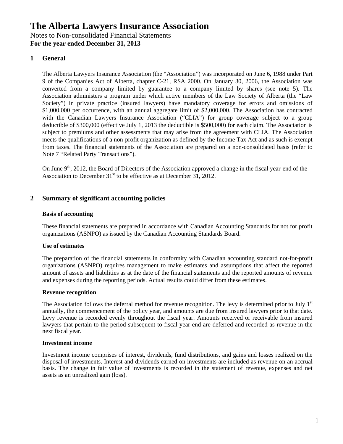# **1 General**

The Alberta Lawyers Insurance Association (the "Association") was incorporated on June 6, 1988 under Part 9 of the Companies Act of Alberta, chapter C-21, RSA 2000. On January 30, 2006, the Association was converted from a company limited by guarantee to a company limited by shares (see note 5). The Association administers a program under which active members of the Law Society of Alberta (the "Law Society") in private practice (insured lawyers) have mandatory coverage for errors and omissions of \$1,000,000 per occurrence, with an annual aggregate limit of \$2,000,000. The Association has contracted with the Canadian Lawyers Insurance Association ("CLIA") for group coverage subject to a group deductible of \$300,000 (effective July 1, 2013 the deductible is \$500,000) for each claim. The Association is subject to premiums and other assessments that may arise from the agreement with CLIA. The Association meets the qualifications of a non-profit organization as defined by the Income Tax Act and as such is exempt from taxes. The financial statements of the Association are prepared on a non-consolidated basis (refer to Note 7 "Related Party Transactions").

On June  $9<sup>th</sup>$ , 2012, the Board of Directors of the Association approved a change in the fiscal year-end of the Association to December  $31<sup>st</sup>$  to be effective as at December  $31$ , 2012.

## **2 Summary of significant accounting policies**

#### **Basis of accounting**

These financial statements are prepared in accordance with Canadian Accounting Standards for not for profit organizations (ASNPO) as issued by the Canadian Accounting Standards Board.

#### **Use of estimates**

The preparation of the financial statements in conformity with Canadian accounting standard not-for-profit organizations (ASNPO) requires management to make estimates and assumptions that affect the reported amount of assets and liabilities as at the date of the financial statements and the reported amounts of revenue and expenses during the reporting periods. Actual results could differ from these estimates.

#### **Revenue recognition**

The Association follows the deferral method for revenue recognition. The levy is determined prior to July  $1<sup>st</sup>$ annually, the commencement of the policy year, and amounts are due from insured lawyers prior to that date. Levy revenue is recorded evenly throughout the fiscal year. Amounts received or receivable from insured lawyers that pertain to the period subsequent to fiscal year end are deferred and recorded as revenue in the next fiscal year.

#### **Investment income**

Investment income comprises of interest, dividends, fund distributions, and gains and losses realized on the disposal of investments. Interest and dividends earned on investments are included as revenue on an accrual basis. The change in fair value of investments is recorded in the statement of revenue, expenses and net assets as an unrealized gain (loss).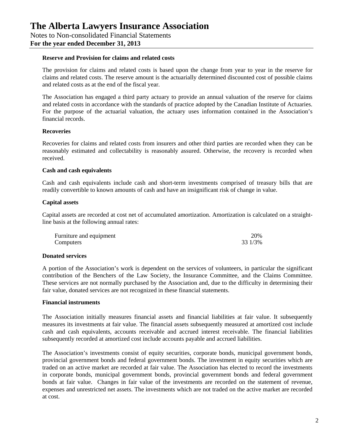#### **Reserve and Provision for claims and related costs**

The provision for claims and related costs is based upon the change from year to year in the reserve for claims and related costs. The reserve amount is the actuarially determined discounted cost of possible claims and related costs as at the end of the fiscal year.

The Association has engaged a third party actuary to provide an annual valuation of the reserve for claims and related costs in accordance with the standards of practice adopted by the Canadian Institute of Actuaries. For the purpose of the actuarial valuation, the actuary uses information contained in the Association's financial records.

#### **Recoveries**

Recoveries for claims and related costs from insurers and other third parties are recorded when they can be reasonably estimated and collectability is reasonably assured. Otherwise, the recovery is recorded when received.

#### **Cash and cash equivalents**

Cash and cash equivalents include cash and short-term investments comprised of treasury bills that are readily convertible to known amounts of cash and have an insignificant risk of change in value.

## **Capital assets**

Capital assets are recorded at cost net of accumulated amortization. Amortization is calculated on a straightline basis at the following annual rates:

| Furniture and equipment | 20%     |
|-------------------------|---------|
| Computers               | 33 1/3% |

## **Donated services**

A portion of the Association's work is dependent on the services of volunteers, in particular the significant contribution of the Benchers of the Law Society, the Insurance Committee, and the Claims Committee. These services are not normally purchased by the Association and, due to the difficulty in determining their fair value, donated services are not recognized in these financial statements.

#### **Financial instruments**

The Association initially measures financial assets and financial liabilities at fair value. It subsequently measures its investments at fair value. The financial assets subsequently measured at amortized cost include cash and cash equivalents, accounts receivable and accrued interest receivable. The financial liabilities subsequently recorded at amortized cost include accounts payable and accrued liabilities.

The Association's investments consist of equity securities, corporate bonds, municipal government bonds, provincial government bonds and federal government bonds. The investment in equity securities which are traded on an active market are recorded at fair value. The Association has elected to record the investments in corporate bonds, municipal government bonds, provincial government bonds and federal government bonds at fair value. Changes in fair value of the investments are recorded on the statement of revenue, expenses and unrestricted net assets. The investments which are not traded on the active market are recorded at cost.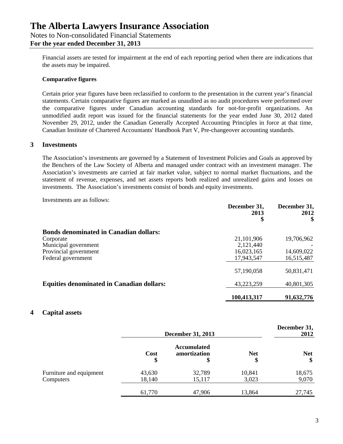Financial assets are tested for impairment at the end of each reporting period when there are indications that the assets may be impaired.

## **Comparative figures**

Certain prior year figures have been reclassified to conform to the presentation in the current year's financial statements. Certain comparative figures are marked as unaudited as no audit procedures were performed over the comparative figures under Canadian accounting standards for not-for-profit organizations. An unmodified audit report was issued for the financial statements for the year ended June 30, 2012 dated November 29, 2012, under the Canadian Generally Accepted Accounting Principles in force at that time, Canadian Institute of Chartered Accountants' Handbook Part V, Pre-changeover accounting standards.

## **3 Investments**

The Association's investments are governed by a Statement of Investment Policies and Goals as approved by the Benchers of the Law Society of Alberta and managed under contract with an investment manager. The Association's investments are carried at fair market value, subject to normal market fluctuations, and the statement of revenue, expenses, and net assets reports both realized and unrealized gains and losses on investments. The Association's investments consist of bonds and equity investments.

Investments are as follows:

|                                                  | December 31,<br>2013<br>\$ | December 31,<br>2012<br>\$ |
|--------------------------------------------------|----------------------------|----------------------------|
| <b>Bonds denominated in Canadian dollars:</b>    |                            |                            |
| Corporate                                        | 21,101,906                 | 19,706,962                 |
| Municipal government                             | 2,121,440                  |                            |
| Provincial government                            | 16,023,165                 | 14,609,022                 |
| Federal government                               | 17,943,547                 | 16,515,487                 |
|                                                  | 57,190,058                 | 50,831,471                 |
| <b>Equities denominated in Canadian dollars:</b> | 43,223,259                 | 40,801,305                 |
|                                                  | 100,413,317                | 91,632,776                 |

#### **4 Capital assets**

|                                      | <b>December 31, 2013</b> |                                          |                  | December 31,<br>2012 |
|--------------------------------------|--------------------------|------------------------------------------|------------------|----------------------|
|                                      | Cost<br>\$               | <b>Accumulated</b><br>amortization<br>\$ | <b>Net</b><br>\$ | <b>Net</b><br>\$     |
| Furniture and equipment<br>Computers | 43,630<br>18,140         | 32,789<br>15,117                         | 10,841<br>3,023  | 18,675<br>9,070      |
|                                      | 61,770                   | 47,906                                   | 13,864           | 27,745               |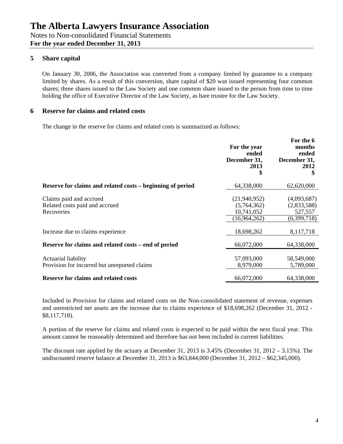# **5 Share capital**

On January 30, 2006, the Association was converted from a company limited by guarantee to a company limited by shares. As a result of this conversion, share capital of \$20 was issued representing four common shares; three shares issued to the Law Society and one common share issued to the person from time to time holding the office of Executive Director of the Law Society, as bare trustee for the Law Society.

## **6 Reserve for claims and related costs**

The change in the reserve for claims and related costs is summarized as follows:

|                                                                         | For the year<br>ended<br>December 31,<br>2013<br>\$       | For the 6<br>months<br>ended<br>December 31,<br>2012<br>\$ |
|-------------------------------------------------------------------------|-----------------------------------------------------------|------------------------------------------------------------|
| Reserve for claims and related costs – beginning of period              | 64,338,000                                                | 62,620,000                                                 |
| Claims paid and accrued<br>Related costs paid and accrued<br>Recoveries | (21,940,952)<br>(5,764,362)<br>10,741,052<br>(16,964,262) | (4,093,687)<br>(2,833,588)<br>527,557<br>(6,399,718)       |
| Increase due to claims experience                                       | 18,698,262                                                | 8,117,718                                                  |
| Reserve for claims and related costs – end of period                    | 66,072,000                                                | 64,338,000                                                 |
| Actuarial liability<br>Provision for incurred but unreported claims     | 57,093,000<br>8,979,000                                   | 58,549,000<br>5,789,000                                    |
| <b>Reserve for claims and related costs</b>                             | 66,072,000                                                | 64,338,000                                                 |

Included in Provision for claims and related costs on the Non-consolidated statement of revenue, expenses and unrestricted net assets are the increase due to claims experience of \$18,698,262 (December 31, 2012 - \$8,117,718).

A portion of the reserve for claims and related costs is expected to be paid within the next fiscal year. This amount cannot be reasonably determined and therefore has not been included in current liabilities.

The discount rate applied by the actuary at December 31, 2013 is 3.45% (December 31, 2012 – 3.15%). The undiscounted reserve balance at December 31, 2013 is \$63,844,000 (December 31, 2012 – \$62,345,000).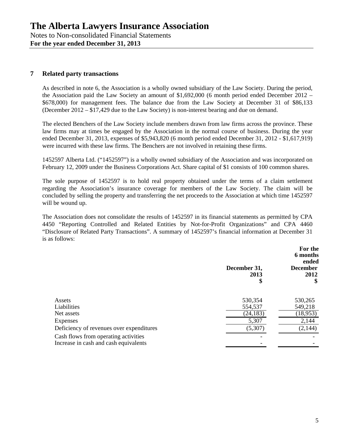# **7 Related party transactions**

As described in note 6, the Association is a wholly owned subsidiary of the Law Society. During the period, the Association paid the Law Society an amount of \$1,692,000 (6 month period ended December 2012 – \$678,000) for management fees. The balance due from the Law Society at December 31 of \$86,133 (December 2012 – \$17,429 due to the Law Society) is non-interest bearing and due on demand.

The elected Benchers of the Law Society include members drawn from law firms across the province. These law firms may at times be engaged by the Association in the normal course of business. During the year ended December 31, 2013, expenses of \$5,943,820 (6 month period ended December 31, 2012 - \$1,617,919) were incurred with these law firms. The Benchers are not involved in retaining these firms.

1452597 Alberta Ltd. ("1452597") is a wholly owned subsidiary of the Association and was incorporated on February 12, 2009 under the Business Corporations Act. Share capital of \$1 consists of 100 common shares.

The sole purpose of 1452597 is to hold real property obtained under the terms of a claim settlement regarding the Association's insurance coverage for members of the Law Society. The claim will be concluded by selling the property and transferring the net proceeds to the Association at which time 1452597 will be wound up.

The Association does not consolidate the results of 1452597 in its financial statements as permitted by CPA 4450 "Reporting Controlled and Related Entities by Not-for-Profit Organizations" and CPA 4460 "Disclosure of Related Party Transactions". A summary of 1452597's financial information at December 31 is as follows:

|                                                                               | December 31,<br>2013<br>\$ | For the<br>6 months<br>ended<br><b>December</b><br>2012<br>\$ |
|-------------------------------------------------------------------------------|----------------------------|---------------------------------------------------------------|
| Assets                                                                        | 530,354                    | 530,265                                                       |
| Liabilities                                                                   | 554,537                    | 549,218                                                       |
| Net assets                                                                    | (24, 183)                  | (18,953)                                                      |
| Expenses                                                                      | 5,307                      | 2,144                                                         |
| Deficiency of revenues over expenditures                                      | (5,307)                    | (2,144)                                                       |
| Cash flows from operating activities<br>Increase in cash and cash equivalents |                            |                                                               |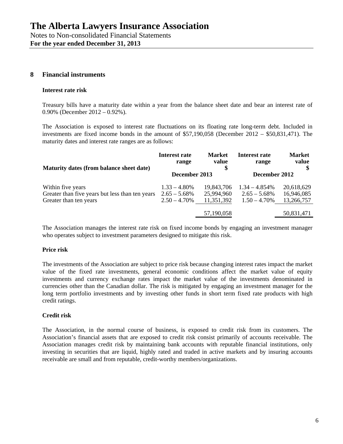## **8 Financial instruments**

#### **Interest rate risk**

Treasury bills have a maturity date within a year from the balance sheet date and bear an interest rate of 0.90% (December 2012 – 0.92%).

The Association is exposed to interest rate fluctuations on its floating rate long-term debt. Included in investments are fixed income bonds in the amount of \$57,190,058 (December 2012 – \$50,831,471). The maturity dates and interest rate ranges are as follows:

| Maturity dates (from balance sheet date)        | Interest rate   | <b>Market</b> | Interest rate    | <b>Market</b> |
|-------------------------------------------------|-----------------|---------------|------------------|---------------|
|                                                 | range           | value         | range            | value         |
|                                                 | December 2013   |               | December 2012    |               |
| Within five years                               | $1.33 - 4.80\%$ | 19,843,706    | $1.34 - 4.854\%$ | 20,618,629    |
| Greater than five years but less than ten years | $2.65 - 5.68\%$ | 25,994,960    | $2.65 - 5.68\%$  | 16,946,085    |
| Greater than ten years                          | $2.50 - 4.70\%$ | 11,351,392    | $1.50 - 4.70\%$  | 13,266,757    |
|                                                 |                 | 57,190,058    |                  | 50,831,471    |

The Association manages the interest rate risk on fixed income bonds by engaging an investment manager who operates subject to investment parameters designed to mitigate this risk.

#### **Price risk**

The investments of the Association are subject to price risk because changing interest rates impact the market value of the fixed rate investments, general economic conditions affect the market value of equity investments and currency exchange rates impact the market value of the investments denominated in currencies other than the Canadian dollar. The risk is mitigated by engaging an investment manager for the long term portfolio investments and by investing other funds in short term fixed rate products with high credit ratings.

#### **Credit risk**

The Association, in the normal course of business, is exposed to credit risk from its customers. The Association's financial assets that are exposed to credit risk consist primarily of accounts receivable. The Association manages credit risk by maintaining bank accounts with reputable financial institutions, only investing in securities that are liquid, highly rated and traded in active markets and by insuring accounts receivable are small and from reputable, credit-worthy members/organizations.